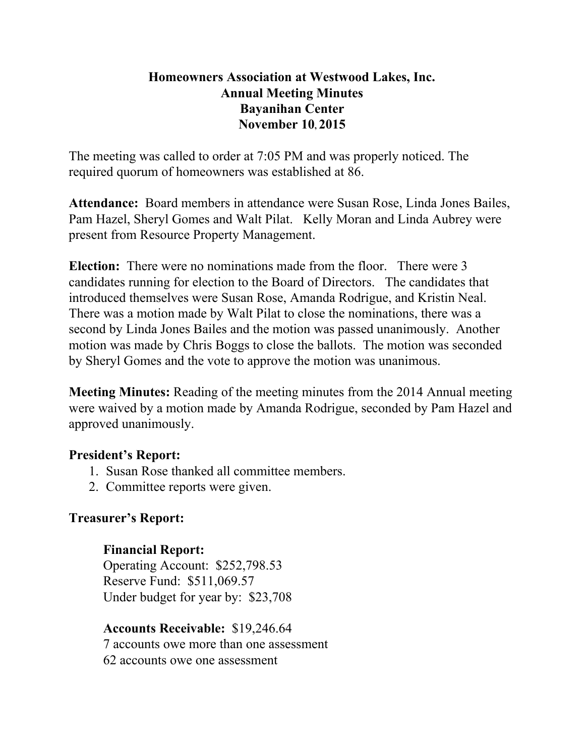## **Homeowners Association at Westwood Lakes, Inc. Annual Meeting Minutes Bayanihan Center November 10, 2015**

The meeting was called to order at 7:05 PM and was properly noticed. The required quorum of homeowners was established at 86.

Attendance: Board members in attendance were Susan Rose, Linda Jones Bailes, Pam Hazel, Sheryl Gomes and Walt Pilat. Kelly Moran and Linda Aubrey were present from Resource Property Management.

**Election:** There were no nominations made from the floor. There were 3 candidates running for election to the Board of Directors. The candidates that introduced themselves were Susan Rose, Amanda Rodrigue, and Kristin Neal. There was a motion made by Walt Pilat to close the nominations, there was a second by Linda Jones Bailes and the motion was passed unanimously. Another motion was made by Chris Boggs to close the ballots. The motion was seconded by Sheryl Gomes and the vote to approve the motion was unanimous.

**Meeting Minutes:** Reading of the meeting minutes from the 2014 Annual meeting were waived by a motion made by Amanda Rodrigue, seconded by Pam Hazel and approved unanimously.

### **President's Report:**

- 1. Susan Rose thanked all committee members.
- 2. Committee reports were given.

### **Treasurer's Report:**

### **Financial Report:**

Operating Account: \$252,798.53 Reserve Fund: \$511,069.57 Under budget for year by: \$23,708

**Accounts Receivable:** \$19,246.64 7 accounts owe more than one assessment 62 accounts owe one assessment